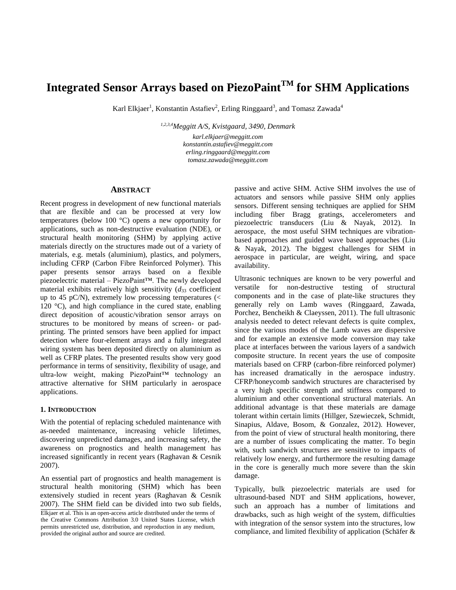# **Integrated Sensor Arrays based on PiezoPaintTM for SHM Applications**

Karl Elkjaer<sup>1</sup>, Konstantin Astafiev<sup>2</sup>, Erling Ringgaard<sup>3</sup>, and Tomasz Zawada<sup>4</sup>

*1,2,3,4Meggitt A/S, Kvistgaard, 3490, Denmark*

*karl.elkjaer@meggitt.com konstantin.astafiev@meggitt.com erling.ringgaard@meggitt.com tomasz.zawada@meggitt.com*

## **ABSTRACT**

Recent progress in development of new functional materials that are flexible and can be processed at very low temperatures (below 100 °C) opens a new opportunity for applications, such as non-destructive evaluation (NDE), or structural health monitoring (SHM) by applying active materials directly on the structures made out of a variety of materials, e.g. metals (aluminium), plastics, and polymers, including CFRP (Carbon Fibre Reinforced Polymer). This paper presents sensor arrays based on a flexible piezoelectric material – PiezoPaint™. The newly developed material exhibits relatively high sensitivity  $(d_{33} \text{ coefficient})$ up to 45 pC/N), extremely low processing temperatures  $\ll$ 120  $^{\circ}$ C), and high compliance in the cured state, enabling direct deposition of acoustic/vibration sensor arrays on structures to be monitored by means of screen- or padprinting. The printed sensors have been applied for impact detection where four-element arrays and a fully integrated wiring system has been deposited directly on aluminium as well as CFRP plates. The presented results show very good performance in terms of sensitivity, flexibility of usage, and ultra-low weight, making PiezoPaint™ technology an attractive alternative for SHM particularly in aerospace applications.

# **1. INTRODUCTION**

With the potential of replacing scheduled maintenance with as-needed maintenance, increasing vehicle lifetimes, discovering unpredicted damages, and increasing safety, the awareness on prognostics and health management has increased significantly in recent years (Raghavan & Cesnik 2007).

An essential part of prognostics and health management is structural health monitoring (SHM) which has been extensively studied in recent years (Raghavan & Cesnik 2007). The SHM field can be divided into two sub fields, Elkjaer et al. This is an open-access article distributed under the terms of the Creative Commons Attribution 3.0 United States License, which permits unrestricted use, distribution, and reproduction in any medium, provided the original author and source are credited.

passive and active SHM. Active SHM involves the use of actuators and sensors while passive SHM only applies sensors. Different sensing techniques are applied for SHM including fiber Bragg gratings, accelerometers and piezoelectric transducers (Liu & Nayak, 2012). In aerospace, the most useful SHM techniques are vibrationbased approaches and guided wave based approaches (Liu & Nayak, 2012). The biggest challenges for SHM in aerospace in particular, are weight, wiring, and space availability.

Ultrasonic techniques are known to be very powerful and versatile for non-destructive testing of structural components and in the case of plate-like structures they generally rely on Lamb waves (Ringgaard, Zawada, Porchez, Bencheikh & Claeyssen, 2011). The full ultrasonic analysis needed to detect relevant defects is quite complex, since the various modes of the Lamb waves are dispersive and for example an extensive mode conversion may take place at interfaces between the various layers of a sandwich composite structure. In recent years the use of composite materials based on CFRP (carbon-fibre reinforced polymer) has increased dramatically in the aerospace industry. CFRP/honeycomb sandwich structures are characterised by a very high specific strength and stiffness compared to aluminium and other conventional structural materials. An additional advantage is that these materials are damage tolerant within certain limits (Hillger, Szewieczek, Schmidt, Sinapius, Aldave, Bosom, & Gonzalez, 2012). However, from the point of view of structural health monitoring, there are a number of issues complicating the matter. To begin with, such sandwich structures are sensitive to impacts of relatively low energy, and furthermore the resulting damage in the core is generally much more severe than the skin damage.

Typically, bulk piezoelectric materials are used for ultrasound-based NDT and SHM applications, however, such an approach has a number of limitations and drawbacks, such as high weight of the system, difficulties with integration of the sensor system into the structures, low compliance, and limited flexibility of application (Schäfer &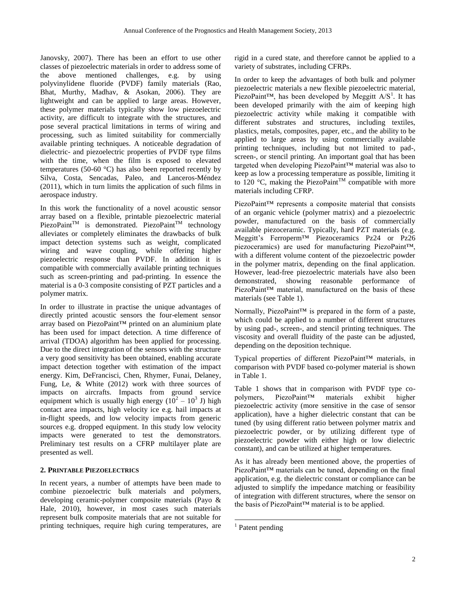Janovsky, 2007). There has been an effort to use other classes of piezoelectric materials in order to address some of the above mentioned challenges, e.g. by using polyvinylidene fluoride (PVDF) family materials (Rao, Bhat, Murthy, Madhav, & Asokan, 2006). They are lightweight and can be applied to large areas. However, these polymer materials typically show low piezoelectric activity, are difficult to integrate with the structures, and pose several practical limitations in terms of wiring and processing, such as limited suitability for commercially available printing techniques. A noticeable degradation of dielectric- and piezoelectric properties of PVDF type films with the time, when the film is exposed to elevated temperatures (50-60 °C) has also been reported recently by Silva, Costa, Sencadas, Paleo, and Lanceros-Méndez (2011), which in turn limits the application of such films in aerospace industry.

In this work the functionality of a novel acoustic sensor array based on a flexible, printable piezoelectric material PiezoPaint<sup>TM</sup> is demonstrated. PiezoPaint<sup>TM</sup> technology alleviates or completely eliminates the drawbacks of bulk impact detection systems such as weight, complicated wiring and wave coupling, while offering higher piezoelectric response than PVDF. In addition it is compatible with commercially available printing techniques such as screen-printing and pad-printing. In essence the material is a 0-3 composite consisting of PZT particles and a polymer matrix.

In order to illustrate in practise the unique advantages of directly printed acoustic sensors the four-element sensor array based on PiezoPaint™ printed on an aluminium plate has been used for impact detection. A time difference of arrival (TDOA) algorithm has been applied for processing. Due to the direct integration of the sensors with the structure a very good sensitivity has been obtained, enabling accurate impact detection together with estimation of the impact energy. Kim, DeFrancisci, Chen, Rhymer, Funai, Delaney, Fung, Le, & White (2012) work with three sources of impacts on aircrafts. Impacts from ground service equipment which is usually high energy  $(10^2 - 10^3)$  high contact area impacts, high velocity ice e.g. hail impacts at in-flight speeds, and low velocity impacts from generic sources e.g. dropped equipment. In this study low velocity impacts were generated to test the demonstrators. Preliminary test results on a CFRP multilayer plate are presented as well.

# **2. PRINTABLE PIEZOELECTRICS**

In recent years, a number of attempts have been made to combine piezoelectric bulk materials and polymers, developing ceramic-polymer composite materials (Payo & Hale, 2010), however, in most cases such materials represent bulk composite materials that are not suitable for printing techniques, require high curing temperatures, are rigid in a cured state, and therefore cannot be applied to a variety of substrates, including CFRPs.

In order to keep the advantages of both bulk and polymer piezoelectric materials a new flexible piezoelectric material, PiezoPaint<sup>™</sup>, has been developed by Meggitt  $A/S<sup>1</sup>$ . It has been developed primarily with the aim of keeping high piezoelectric activity while making it compatible with different substrates and structures, including textiles, plastics, metals, composites, paper, etc., and the ability to be applied to large areas by using commercially available printing techniques, including but not limited to pad-, screen-, or stencil printing. An important goal that has been targeted when developing PiezoPaint™ material was also to keep as low a processing temperature as possible, limiting it to 120 °C, making the PiezoPaint<sup>TM</sup> compatible with more materials including CFRP.

PiezoPaint™ represents a composite material that consists of an organic vehicle (polymer matrix) and a piezoelectric powder, manufactured on the basis of commercially available piezoceramic. Typically, hard PZT materials (e.g. Meggitt's Ferroperm™ Piezoceramics Pz24 or Pz26 piezoceramics) are used for manufacturing PiezoPaint™, with a different volume content of the piezoelectric powder in the polymer matrix, depending on the final application. However, lead-free piezoelectric materials have also been demonstrated, showing reasonable performance of PiezoPaint™ material, manufactured on the basis of these materials (see Table 1).

Normally, PiezoPaint<sup>™</sup> is prepared in the form of a paste, which could be applied to a number of different structures by using pad-, screen-, and stencil printing techniques. The viscosity and overall fluidity of the paste can be adjusted, depending on the deposition technique.

Typical properties of different PiezoPaint™ materials, in comparison with PVDF based co-polymer material is shown in Table 1.

Table 1 shows that in comparison with PVDF type copolymers, PiezoPaint™ materials exhibit higher piezoelectric activity (more sensitive in the case of sensor application), have a higher dielectric constant that can be tuned (by using different ratio between polymer matrix and piezoelectric powder, or by utilizing different type of piezoelectric powder with either high or low dielectric constant), and can be utilized at higher temperatures.

As it has already been mentioned above, the properties of PiezoPaint™ materials can be tuned, depending on the final application, e.g. the dielectric constant or compliance can be adjusted to simplify the impedance matching or feasibility of integration with different structures, where the sensor on the basis of PiezoPaint™ material is to be applied.

l

 $<sup>1</sup>$  Patent pending</sup>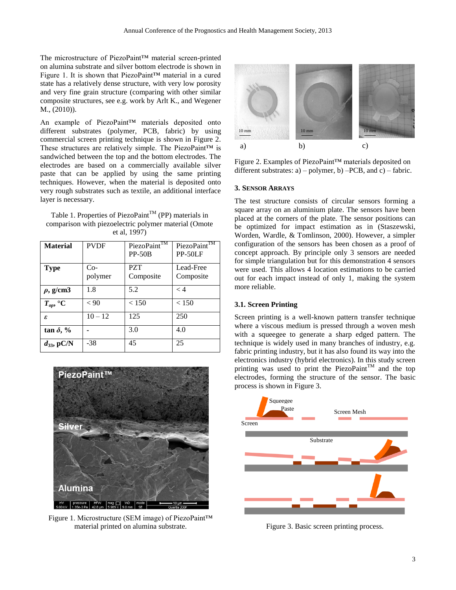The microstructure of PiezoPaint™ material screen-printed on alumina substrate and silver bottom electrode is shown in Figure 1. It is shown that PiezoPaint™ material in a cured state has a relatively dense structure, with very low porosity and very fine grain structure (comparing with other similar composite structures, see e.g. work by Arlt K., and Wegener M., (2010)).

An example of PiezoPaint™ materials deposited onto different substrates (polymer, PCB, fabric) by using commercial screen printing technique is shown in Figure 2. These structures are relatively simple. The PiezoPaint™ is sandwiched between the top and the bottom electrodes. The electrodes are based on a commercially available silver paste that can be applied by using the same printing techniques. However, when the material is deposited onto very rough substrates such as textile, an additional interface layer is necessary.

Table 1. Properties of PiezoPaint<sup>TM</sup> (PP) materials in comparison with piezoelectric polymer material (Omote et al, 1997)

| <b>Material</b>   | <b>PVDF</b>      | PiezoPaint <sup>TM</sup><br>$PP-50B$ | PiezoPaint™<br>PP-50LF |
|-------------------|------------------|--------------------------------------|------------------------|
| <b>Type</b>       | $Co-$<br>polymer | <b>PZT</b><br>Composite              | Lead-Free<br>Composite |
| $\rho$ , g/cm3    | 1.8              | 5.2                                  | $\lt 4$                |
| $T_{op}$ , °C     | < 90             | < 150                                | < 150                  |
| ε                 | $10 - 12$        | 125                                  | 250                    |
| $\tan \delta, \%$ |                  | 3.0                                  | 4.0                    |
| $d_{33}$ , pC/N   | $-38$            | 45                                   | 25                     |



Figure 1. Microstructure (SEM image) of PiezoPaint™ material printed on alumina substrate.



Figure 2. Examples of PiezoPaint™ materials deposited on different substrates:  $a$ ) – polymer,  $b$ ) – PCB, and  $c$ ) – fabric.

### **3. SENSOR ARRAYS**

The test structure consists of circular sensors forming a square array on an aluminium plate. The sensors have been placed at the corners of the plate. The sensor positions can be optimized for impact estimation as in (Staszewski, Worden, Wardle, & Tomlinson, 2000). However, a simpler configuration of the sensors has been chosen as a proof of concept approach. By principle only 3 sensors are needed for simple triangulation but for this demonstration 4 sensors were used. This allows 4 location estimations to be carried out for each impact instead of only 1, making the system more reliable.

# **3.1. Screen Printing**

Screen printing is a well-known pattern transfer technique where a viscous medium is pressed through a woven mesh with a squeegee to generate a sharp edged pattern. The technique is widely used in many branches of industry, e.g. fabric printing industry, but it has also found its way into the electronics industry (hybrid electronics). In this study screen printing was used to print the PiezoPaint<sup>TM</sup> and the top electrodes, forming the structure of the sensor. The basic process is shown in [Figure 3.](#page-2-0)



<span id="page-2-0"></span>Figure 3. Basic screen printing process.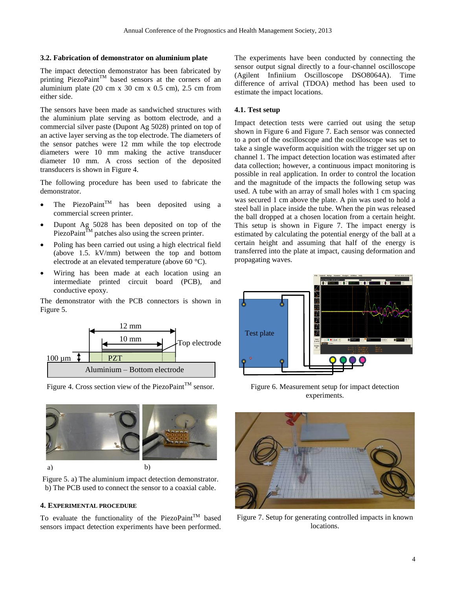## **3.2. Fabrication of demonstrator on aluminium plate**

The impact detection demonstrator has been fabricated by printing PiezoPaint<sup>TM</sup> based sensors at the corners of an aluminium plate  $(20 \text{ cm } x\text{ } 30 \text{ cm } x\text{ } 0.5 \text{ cm})$ ,  $2.5 \text{ cm}$  from either side.

The sensors have been made as sandwiched structures with the aluminium plate serving as bottom electrode, and a commercial silver paste (Dupont Ag 5028) printed on top of an active layer serving as the top electrode. The diameters of the sensor patches were 12 mm while the top electrode diameters were 10 mm making the active transducer diameter 10 mm. A cross section of the deposited transducers is shown in [Figure 4.](#page-3-0)

The following procedure has been used to fabricate the demonstrator.

- The PiezoPaint<sup>TM</sup> has been deposited using a commercial screen printer.
- Dupont Ag 5028 has been deposited on top of the PiezoPaint $^{\bar{T}M}$  patches also using the screen printer.
- Poling has been carried out using a high electrical field (above 1.5. kV/mm) between the top and bottom electrode at an elevated temperature (above 60 °C).
- Wiring has been made at each location using an intermediate printed circuit board (PCB), and conductive epoxy.

The demonstrator with the PCB connectors is shown in [Figure 5.](#page-3-1)



<span id="page-3-0"></span>Figure 4. Cross section view of the PiezoPaint<sup>TM</sup> sensor.



<span id="page-3-1"></span>Figure 5. a) The aluminium impact detection demonstrator. b) The PCB used to connect the sensor to a coaxial cable.

#### **4. EXPERIMENTAL PROCEDURE**

To evaluate the functionality of the PiezoPaint<sup>TM</sup> based sensors impact detection experiments have been performed. The experiments have been conducted by connecting the sensor output signal directly to a four-channel oscilloscope (Agilent Infiniium Oscilloscope DSO8064A). Time difference of arrival (TDOA) method has been used to estimate the impact locations.

## **4.1. Test setup**

Impact detection tests were carried out using the setup shown in [Figure 6](#page-3-2) and [Figure 7.](#page-3-3) Each sensor was connected to a port of the oscilloscope and the oscilloscope was set to take a single waveform acquisition with the trigger set up on channel 1. The impact detection location was estimated after data collection; however, a continuous impact monitoring is possible in real application. In order to control the location and the magnitude of the impacts the following setup was used. A tube with an array of small holes with 1 cm spacing was secured 1 cm above the plate. A pin was used to hold a steel ball in place inside the tube. When the pin was released the ball dropped at a chosen location from a certain height. This setup is shown in [Figure 7.](#page-3-3) The impact energy is estimated by calculating the potential energy of the ball at a certain height and assuming that half of the energy is transferred into the plate at impact, causing deformation and propagating waves.



<span id="page-3-2"></span>Figure 6. Measurement setup for impact detection experiments.

<span id="page-3-3"></span>

Figure 7. Setup for generating controlled impacts in known locations.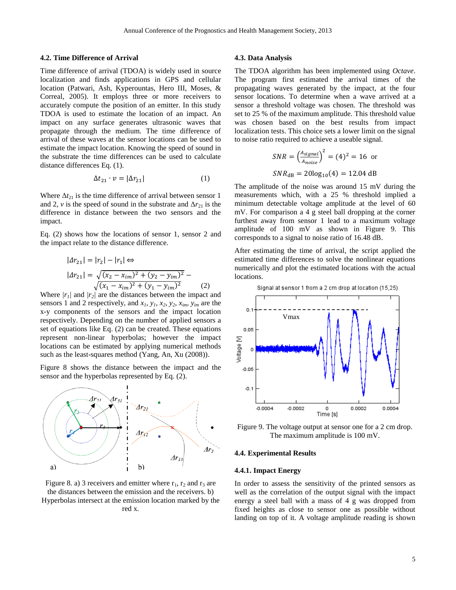### **4.2. Time Difference of Arrival**

Time difference of arrival (TDOA) is widely used in source localization and finds applications in GPS and cellular location (Patwari, Ash, Kyperountas, Hero III, Moses, & Correal, 2005). It employs three or more receivers to accurately compute the position of an emitter. In this study TDOA is used to estimate the location of an impact. An impact on any surface generates ultrasonic waves that propagate through the medium. The time difference of arrival of these waves at the sensor locations can be used to estimate the impact location. Knowing the speed of sound in the substrate the time differences can be used to calculate distance differences Eq. (1).

$$
\Delta t_{21} \cdot v = |\Delta r_{21}| \tag{1}
$$

Where  $\Delta t_{21}$  is the time difference of arrival between sensor 1 and 2, *v* is the speed of sound in the substrate and  $\Delta r_{21}$  is the difference in distance between the two sensors and the impact.

Eq. (2) shows how the locations of sensor 1, sensor 2 and the impact relate to the distance difference.

$$
| \Delta r_{21} | = |r_2| - |r_1| \Leftrightarrow
$$
  
\n
$$
| \Delta r_{21} | = \sqrt{(x_2 - x_{im})^2 + (y_2 - y_{im})^2} - \sqrt{(x_1 - x_{im})^2 + (y_1 - y_{im})^2}
$$
 (2)

Where  $|r_1|$  and  $|r_2|$  are the distances between the impact and sensors 1 and 2 respectively, and *x1, y1, x2, y2, xim, yim* are the x-y components of the sensors and the impact location respectively. Depending on the number of applied sensors a set of equations like Eq. (2) can be created. These equations represent non-linear hyperbolas; however the impact locations can be estimated by applying numerical methods such as the least-squares method (Yang, An, Xu (2008)).

[Figure 8](#page-4-0) shows the distance between the impact and the sensor and the hyperbolas represented by Eq. (2).



<span id="page-4-0"></span>Figure 8. a) 3 receivers and emitter where  $r_1$ ,  $r_2$  and  $r_3$  are the distances between the emission and the receivers. b) Hyperbolas intersect at the emission location marked by the red x.

# **4.3. Data Analysis**

The TDOA algorithm has been implemented using *Octave*. The program first estimated the arrival times of the propagating waves generated by the impact, at the four sensor locations. To determine when a wave arrived at a sensor a threshold voltage was chosen. The threshold was set to 25 % of the maximum amplitude. This threshold value was chosen based on the best results from impact localization tests. This choice sets a lower limit on the signal to noise ratio required to achieve a useable signal.

$$
SNR = \left(\frac{A_{signal}}{A_{noise}}\right)^2 = (4)^2 = 16
$$
or  

$$
SNR_{dB} = 20\log_{10}(4) = 12.04
$$
dB

The amplitude of the noise was around 15 mV during the measurements which, with a 25 % threshold implied a minimum detectable voltage amplitude at the level of 60 mV. For comparison a 4 g steel ball dropping at the corner furthest away from sensor 1 lead to a maximum voltage amplitude of 100 mV as shown in [Figure 9.](#page-4-1) This corresponds to a signal to noise ratio of 16.48 dB.

After estimating the time of arrival, the script applied the estimated time differences to solve the nonlinear equations numerically and plot the estimated locations with the actual locations.



<span id="page-4-1"></span>Figure 9. The voltage output at sensor one for a 2 cm drop. The maximum amplitude is 100 mV.

#### **4.4. Experimental Results**

# **4.4.1. Impact Energy**

In order to assess the sensitivity of the printed sensors as well as the correlation of the output signal with the impact energy a steel ball with a mass of 4 g was dropped from fixed heights as close to sensor one as possible without landing on top of it. A voltage amplitude reading is shown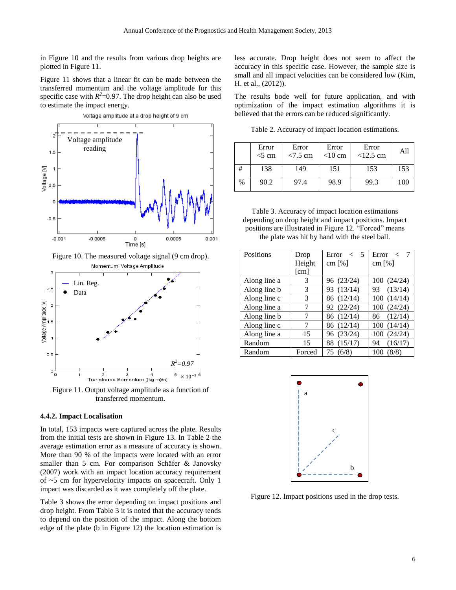in [Figure 10](#page-5-0) and the results from various drop heights are plotted in [Figure 11.](#page-5-1)

[Figure 11](#page-5-1) shows that a linear fit can be made between the transferred momentum and the voltage amplitude for this specific case with  $R^2$ =0.97. The drop height can also be used to estimate the impact energy.



<span id="page-5-0"></span>Figure 10. The measured voltage signal (9 cm drop). Momentum, Voltage Amplitude



<span id="page-5-1"></span>Figure 11. Output voltage amplitude as a function of transferred momentum.

#### **4.4.2. Impact Localisation**

In total, 153 impacts were captured across the plate. Results from the initial tests are shown in [Figure 13.](#page-6-0) In [Table 2](#page-5-2) the average estimation error as a measure of accuracy is shown. More than 90 % of the impacts were located with an error smaller than 5 cm. For comparison Schäfer & Janovsky (2007) work with an impact location accuracy requirement of ~5 cm for hypervelocity impacts on spacecraft. Only 1 impact was discarded as it was completely off the plate.

[Table 3](#page-5-3) shows the error depending on impact positions and drop height. From [Table 3](#page-5-3) it is noted that the accuracy tends to depend on the position of the impact. Along the bottom edge of the plate (b in [Figure 12\)](#page-5-4) the location estimation is less accurate. Drop height does not seem to affect the accuracy in this specific case. However, the sample size is small and all impact velocities can be considered low (Kim, H. et al., (2012)).

The results bode well for future application, and with optimization of the impact estimation algorithms it is believed that the errors can be reduced significantly.

<span id="page-5-2"></span>Table 2. Accuracy of impact location estimations.

|      | Error<br>$<$ 5 cm | Error<br>$< 7.5$ cm | Error<br>$<$ 10 cm | Error<br>$<12.5$ cm | All |
|------|-------------------|---------------------|--------------------|---------------------|-----|
| #    | 138               | 149                 | 151                | 153                 | 153 |
| $\%$ | 90.2              | 97.4                | 98.9               | 99.3                | 100 |

<span id="page-5-3"></span>Table 3. Accuracy of impact location estimations depending on drop height and impact positions. Impact positions are illustrated in [Figure 12.](#page-5-4) "Forced" means the plate was hit by hand with the steel ball.

| Positions    | Drop                 | Error $\lt$ 5 | Error <       |
|--------------|----------------------|---------------|---------------|
|              | Height               | cm $[\%]$     | cm $[\%]$     |
|              | $\lceil$ cm $\rceil$ |               |               |
| Along line a | 3                    | 96 (23/24)    | 100(24/24)    |
| Along line b | 3                    | 93 (13/14)    | 93 (13/14)    |
| Along line c | 3                    | 86 (12/14)    | 100(14/14)    |
| Along line a | 7                    | 92 (22/24)    | 100(24/24)    |
| Along line b | 7                    | 86 (12/14)    | 86 (12/14)    |
| Along line c | 7                    | 86 (12/14)    | 100(14/14)    |
| Along line a | 15                   | 96 (23/24)    | 100(24/24)    |
| Random       | 15                   | 88 (15/17)    | (16/17)<br>94 |
| Random       | Forced               | 75 (6/8)      | (8/8)<br>100  |



<span id="page-5-4"></span>Figure 12. Impact positions used in the drop tests.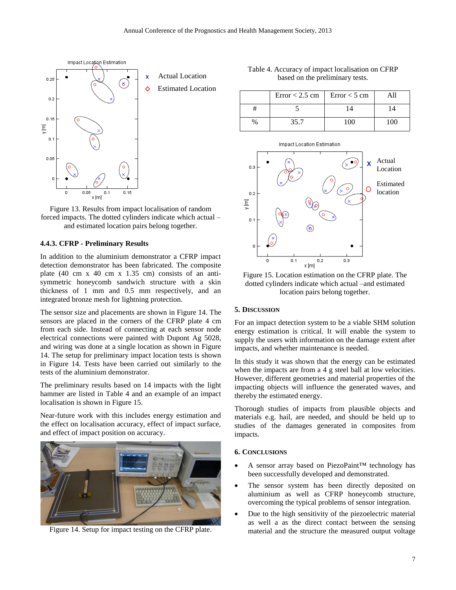

<span id="page-6-0"></span>Figure 13. Results from impact localisation of random forced impacts. The dotted cylinders indicate which actual – and estimated location pairs belong together.

## **4.4.3. CFRP - Preliminary Results**

In addition to the aluminium demonstrator a CFRP impact detection demonstrator has been fabricated. The composite plate (40 cm x 40 cm x 1.35 cm) consists of an antisymmetric honeycomb sandwich structure with a skin thickness of 1 mm and 0.5 mm respectively, and an integrated bronze mesh for lightning protection.

The sensor size and placements are shown in [Figure 14.](#page-6-1) The sensors are placed in the corners of the CFRP plate 4 cm from each side. Instead of connecting at each sensor node electrical connections were painted with Dupont Ag 5028, and wiring was done at a single location as shown in [Figure](#page-6-1)  [14.](#page-6-1) The setup for preliminary impact location tests is shown in [Figure 14.](#page-6-1) Tests have been carried out similarly to the tests of the aluminium demonstrator.

The preliminary results based on 14 impacts with the light hammer are listed in [Table 4](#page-6-2) and an example of an impact localisation is shown i[n Figure 15.](#page-6-3)

Near-future work with this includes energy estimation and the effect on localisation accuracy, effect of impact surface, and effect of impact position on accuracy.

<span id="page-6-1"></span>

Figure 14. Setup for impact testing on the CFRP plate.

<span id="page-6-2"></span>Table 4. Accuracy of impact localisation on CFRP based on the preliminary tests.

|   | Error < 2.5 cm $\vert$ | $Error < 5$ cm |     |
|---|------------------------|----------------|-----|
|   |                        |                |     |
| % | 35.7                   | 100            | 100 |



<span id="page-6-3"></span>Figure 15. Location estimation on the CFRP plate. The dotted cylinders indicate which actual –and estimated location pairs belong together.

# **5. DISCUSSION**

For an impact detection system to be a viable SHM solution energy estimation is critical. It will enable the system to supply the users with information on the damage extent after impacts, and whether maintenance is needed.

In this study it was shown that the energy can be estimated when the impacts are from a 4 g steel ball at low velocities. However, different geometries and material properties of the impacting objects will influence the generated waves, and thereby the estimated energy.

Thorough studies of impacts from plausible objects and materials e.g. hail, are needed, and should be held up to studies of the damages generated in composites from impacts.

#### **6. CONCLUSIONS**

- A sensor array based on PiezoPaint™ technology has been successfully developed and demonstrated.
- The sensor system has been directly deposited on aluminium as well as CFRP honeycomb structure, overcoming the typical problems of sensor integration.
- Due to the high sensitivity of the piezoelectric material as well a as the direct contact between the sensing material and the structure the measured output voltage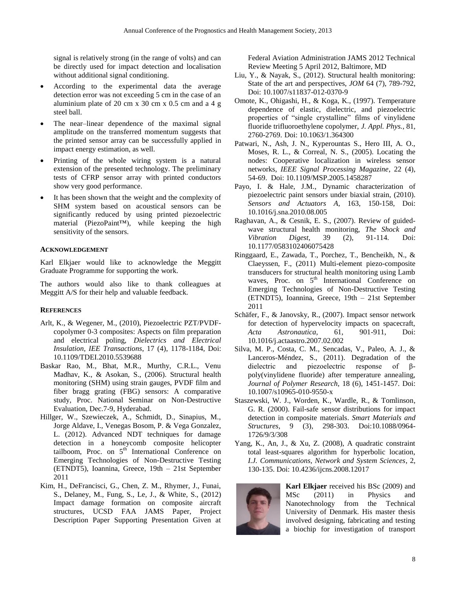signal is relatively strong (in the range of volts) and can be directly used for impact detection and localisation without additional signal conditioning.

- According to the experimental data the average detection error was not exceeding 5 cm in the case of an aluminium plate of 20 cm  $x$  30 cm  $x$  0.5 cm and a 4 g steel ball.
- The near–linear dependence of the maximal signal amplitude on the transferred momentum suggests that the printed sensor array can be successfully applied in impact energy estimation, as well.
- Printing of the whole wiring system is a natural extension of the presented technology. The preliminary tests of CFRP sensor array with printed conductors show very good performance.
- It has been shown that the weight and the complexity of SHM system based on acoustical sensors can be significantly reduced by using printed piezoelectric material (PiezoPaint™), while keeping the high sensitivity of the sensors.

# **ACKNOWLEDGEMENT**

Karl Elkjaer would like to acknowledge the Meggitt Graduate Programme for supporting the work.

The authors would also like to thank colleagues at Meggitt A/S for their help and valuable feedback.

# **REFERENCES**

- Arlt, K., & Wegener, M., (2010), Piezoelectric PZT/PVDFcopolymer 0-3 composites: Aspects on film preparation and electrical poling, *Dielectrics and Electrical Insulation, IEE Transactions*, 17 (4), 1178-1184, Doi: 10.1109/TDEI.2010.5539688
- Baskar Rao, M., Bhat, M.R., Murthy, C.R.L., Venu Madhav, K., & Asokan, S., (2006). Structural health monitoring (SHM) using strain gauges, PVDF film and fiber bragg grating (FBG) sensors: A comparative study, Proc. National Seminar on Non-Destructive Evaluation, Dec.7-9, Hyderabad.
- Hillger, W., Szewieczek, A., Schmidt, D., Sinapius, M., Jorge Aldave, I., Venegas Bosom, P. & Vega Gonzalez, L. (2012). Advanced NDT techniques for damage detection in a honeycomb composite helicopter tailboom, Proc. on 5<sup>th</sup> International Conference on Emerging Technologies of Non-Destructive Testing (ETNDT5), Ioannina, Greece, 19th – 21st September 2011
- Kim, H., DeFrancisci, G., Chen, Z. M., Rhymer, J., Funai, S., Delaney, M., Fung, S., Le, J., & White, S., (2012) Impact damage formation on composite aircraft structures, UCSD FAA JAMS Paper, Project Description Paper Supporting Presentation Given at

Federal Aviation Administration JAMS 2012 Technical Review Meeting 5 April 2012, Baltimore, MD

- Liu, Y., & Nayak, S., (2012). Structural health monitoring: State of the art and perspectives, *JOM* 64 (7), 789-792, Doi: 10.1007/s11837-012-0370-9
- Omote, K., Ohigashi, H., & Koga, K., (1997). Temperature dependence of elastic, dielectric, and piezoelectric properties of "single crystalline" films of vinylidene fluoride trifluoroethylene copolymer, *J. Appl. Phys.*, 81, 2760-2769. Doi: 10.1063/1.364300
- Patwari, N., Ash, J. N., Kyperountas S., Hero III, A. O., Moses, R. L., & Correal, N. S., (2005). Locating the nodes: Cooperative localization in wireless sensor networks, *IEEE Signal Processing Magazine*, 22 (4), 54-69. Doi: 10.1109/MSP.2005.1458287
- Payo, I. & Hale, J.M., Dynamic characterization of piezoelectric paint sensors under biaxial strain, (2010). *Sensors and Actuators A*, 163, 150-158, Doi: 10.1016/j.sna.2010.08.005
- Raghavan, A., & Cesnik, E. S., (2007). Review of guidedwave structural health monitoring, *The Shock and Vibration Digest*, 39 (2), 91-114. Doi: 10.1177/0583102406075428
- Ringgaard, E., Zawada, T., Porchez, T., Bencheikh, N., & Claeyssen, F., (2011) Multi-element piezo-composite transducers for structural health monitoring using Lamb waves, Proc. on 5<sup>th</sup> International Conference on Emerging Technologies of Non-Destructive Testing (ETNDT5), Ioannina, Greece, 19th – 21st September 2011
- Schäfer, F., & Janovsky, R., (2007). Impact sensor network for detection of hypervelocity impacts on spacecraft, *Acta Astronautica*, 61, 901-911, Doi: 10.1016/j.actaastro.2007.02.002
- Silva, M. P., Costa, C. M., Sencadas, V., Paleo, A. J., & Lanceros-Méndez, S., (2011). Degradation of the dielectric and piezoelectric response of βpoly(vinylidene fluoride) after temperature annealing, *Journal of Polymer Research*, 18 (6), 1451-1457. Doi: 10.1007/s10965-010-9550-x
- Staszewski, W. J., Worden, K., Wardle, R., & Tomlinson, G. R. (2000). Fail-safe sensor distributions for impact detection in composite materials. *Smart Materials and Structures,* 9 (3), 298-303. Doi:10.1088/0964- 1726/9/3/308
- Yang, K., An, J., & Xu, Z. (2008), A quadratic constraint total least-squares algorithm for hyperbolic location, *I.J. Communications, Network and System Sciences*, 2, 130-135. Doi: 10.4236/ijcns.2008.12017



**Karl Elkjaer** received his BSc (2009) and MSc (2011) in Physics and Nanotechnology from the Technical University of Denmark. His master thesis involved designing, fabricating and testing a biochip for investigation of transport